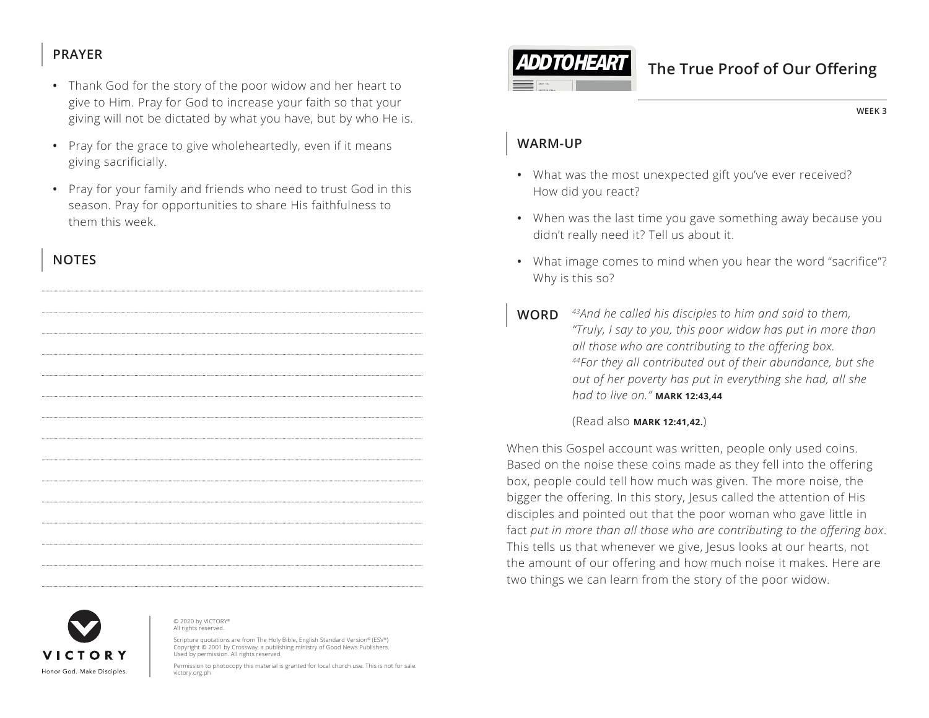### **PRAYER**

- Thank God for the story of the poor widow and her heart to give to Him. Pray for God to increase your faith so that your giving will not be dictated by what you have, but by who He is.
- Pray for the grace to give wholeheartedly, even if it means giving sacrificially.
- Pray for your family and friends who need to trust God in this season. Pray for opportunities to share His faithfulness to them this week.

### **NOTES**





© 2020 by VICTORY® All rights reserved.

Scripture quotations are from The Holy Bible, English Standard Version® (ESV®) Copyright © 2001 by Crossway, a publishing ministry of Good News Publishers. Used by permission. All rights reserved.

Permission to photocopy this material is granted for local church use. This is not for sale. victory.org.ph



# **The True Proof of Our Offering**

**WEEK 3**

### **WARM-UP**

- What was the most unexpected gift you've ever received? How did you react?
- When was the last time you gave something away because you didn't really need it? Tell us about it.
- What image comes to mind when you hear the word "sacrifice"? Why is this so?
- **WORD** *43And he called his disciples to him and said to them, "Truly, I say to you, this poor widow has put in more than all those who are contributing to the offering box. 44For they all contributed out of their abundance, but she out of her poverty has put in everything she had, all she had to live on." ^***MARK 12:43,44**

#### (Read also **^MARK 12:41,42.**)

When this Gospel account was written, people only used coins. Based on the noise these coins made as they fell into the offering box, people could tell how much was given. The more noise, the bigger the offering. In this story, Jesus called the attention of His disciples and pointed out that the poor woman who gave little in fact *put in more than all those who are contributing to the offering box*. This tells us that whenever we give, Jesus looks at our hearts, not the amount of our offering and how much noise it makes. Here are two things we can learn from the story of the poor widow.